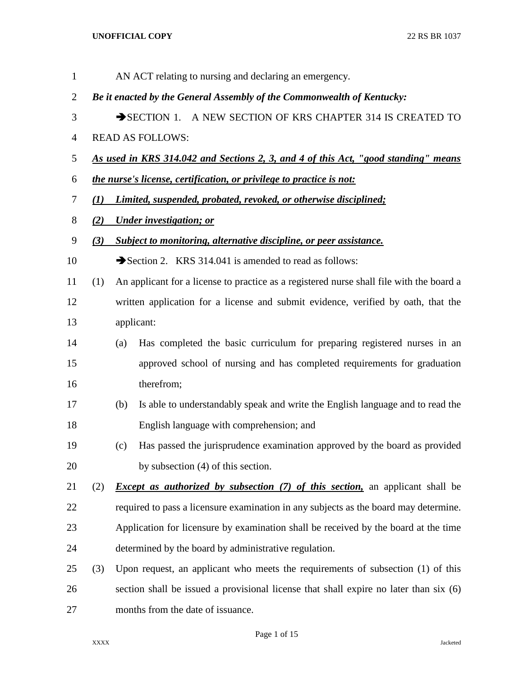| $\mathbf{1}$ |                  |                                                                                    | AN ACT relating to nursing and declaring an emergency.                                   |  |  |
|--------------|------------------|------------------------------------------------------------------------------------|------------------------------------------------------------------------------------------|--|--|
| 2            |                  | Be it enacted by the General Assembly of the Commonwealth of Kentucky:             |                                                                                          |  |  |
| 3            |                  | SECTION 1. A NEW SECTION OF KRS CHAPTER 314 IS CREATED TO                          |                                                                                          |  |  |
| 4            |                  |                                                                                    | <b>READ AS FOLLOWS:</b>                                                                  |  |  |
| 5            |                  | As used in KRS 314.042 and Sections 2, 3, and 4 of this Act, "good standing" means |                                                                                          |  |  |
| 6            |                  | the nurse's license, certification, or privilege to practice is not:               |                                                                                          |  |  |
| 7            | $\mathcal{L}(I)$ |                                                                                    | Limited, suspended, probated, revoked, or otherwise disciplined;                         |  |  |
| 8            | (2)              |                                                                                    | <b>Under investigation; or</b>                                                           |  |  |
| 9            | (3)              |                                                                                    | <b>Subject to monitoring, alternative discipline, or peer assistance.</b>                |  |  |
| 10           |                  |                                                                                    | Section 2. KRS 314.041 is amended to read as follows:                                    |  |  |
| 11           | (1)              |                                                                                    | An applicant for a license to practice as a registered nurse shall file with the board a |  |  |
| 12           |                  |                                                                                    | written application for a license and submit evidence, verified by oath, that the        |  |  |
| 13           |                  |                                                                                    | applicant:                                                                               |  |  |
| 14           |                  | (a)                                                                                | Has completed the basic curriculum for preparing registered nurses in an                 |  |  |
| 15           |                  |                                                                                    | approved school of nursing and has completed requirements for graduation                 |  |  |
| 16           |                  |                                                                                    | therefrom;                                                                               |  |  |
| 17           |                  | (b)                                                                                | Is able to understandably speak and write the English language and to read the           |  |  |
| 18           |                  |                                                                                    | English language with comprehension; and                                                 |  |  |
| 19           |                  | (c)                                                                                | Has passed the jurisprudence examination approved by the board as provided               |  |  |
| 20           |                  |                                                                                    | by subsection (4) of this section.                                                       |  |  |
| 21           | (2)              |                                                                                    | <i>Except as authorized by subsection (7) of this section</i> , an applicant shall be    |  |  |
| 22           |                  |                                                                                    | required to pass a licensure examination in any subjects as the board may determine.     |  |  |
| 23           |                  |                                                                                    | Application for licensure by examination shall be received by the board at the time      |  |  |
| 24           |                  |                                                                                    | determined by the board by administrative regulation.                                    |  |  |
| 25           | (3)              |                                                                                    | Upon request, an applicant who meets the requirements of subsection (1) of this          |  |  |
| 26           |                  |                                                                                    | section shall be issued a provisional license that shall expire no later than six (6)    |  |  |
| 27           |                  |                                                                                    | months from the date of issuance.                                                        |  |  |

Page 1 of 15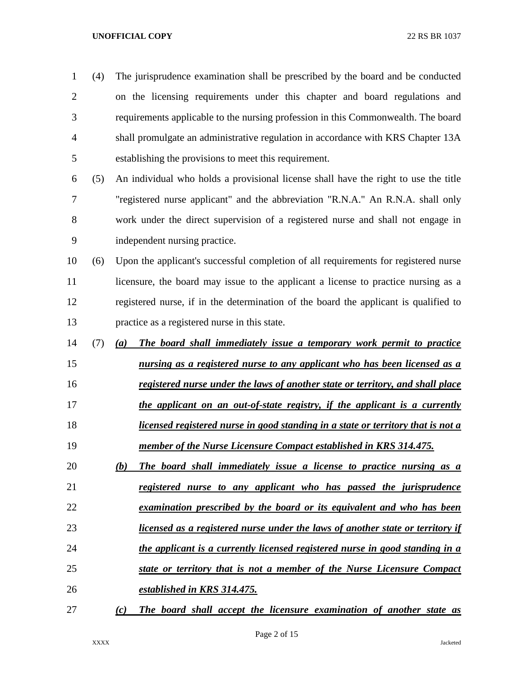| $\mathbf{1}$   | (4) | The jurisprudence examination shall be prescribed by the board and be conducted      |
|----------------|-----|--------------------------------------------------------------------------------------|
| $\overline{c}$ |     | on the licensing requirements under this chapter and board regulations and           |
| 3              |     | requirements applicable to the nursing profession in this Commonwealth. The board    |
| 4              |     | shall promulgate an administrative regulation in accordance with KRS Chapter 13A     |
| 5              |     | establishing the provisions to meet this requirement.                                |
| 6              | (5) | An individual who holds a provisional license shall have the right to use the title  |
| 7              |     | "registered nurse applicant" and the abbreviation "R.N.A." An R.N.A. shall only      |
| 8              |     | work under the direct supervision of a registered nurse and shall not engage in      |
| 9              |     | independent nursing practice.                                                        |
| 10             | (6) | Upon the applicant's successful completion of all requirements for registered nurse  |
| 11             |     | licensure, the board may issue to the applicant a license to practice nursing as a   |
| 12             |     | registered nurse, if in the determination of the board the applicant is qualified to |
| 13             |     | practice as a registered nurse in this state.                                        |
| 14             | (7) | The board shall immediately issue a temporary work permit to practice<br>(a)         |
| 15             |     | nursing as a registered nurse to any applicant who has been licensed as a            |
| 16             |     | registered nurse under the laws of another state or territory, and shall place       |
| 17             |     | the applicant on an out-of-state registry, if the applicant is a currently           |
| 18             |     | licensed registered nurse in good standing in a state or territory that is not a     |
| 19             |     | member of the Nurse Licensure Compact established in KRS 314.475.                    |
| 20             |     | The board shall immediately issue a license to practice nursing as a<br>(b)          |
| 21             |     | registered nurse to any applicant who has passed the jurisprudence                   |
| 22             |     | examination prescribed by the board or its equivalent and who has been               |
| 23             |     | licensed as a registered nurse under the laws of another state or territory if       |
| 24             |     | the applicant is a currently licensed registered nurse in good standing in a         |
| 25             |     | state or territory that is not a member of the Nurse Licensure Compact               |
| 26             |     | established in KRS 314.475.                                                          |
| 27             |     | The board shall accept the licensure examination of another state as<br>(c)          |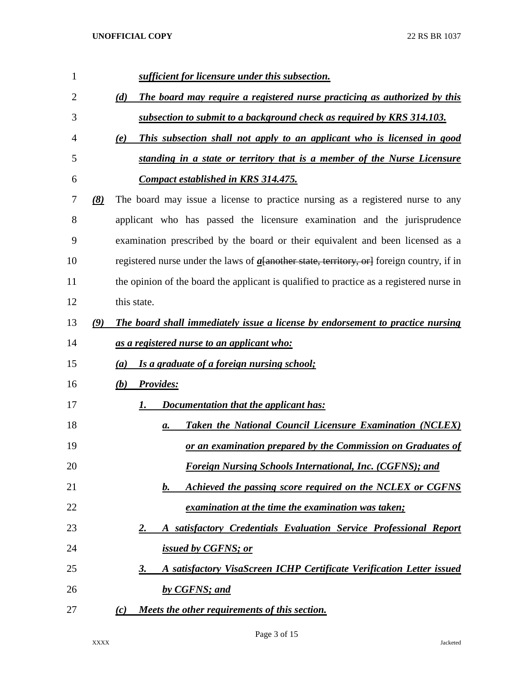| 1  | sufficient for licensure under this subsection.                                                |
|----|------------------------------------------------------------------------------------------------|
| 2  | The board may require a registered nurse practicing as authorized by this<br>(d)               |
| 3  | subsection to submit to a background check as required by KRS 314.103.                         |
| 4  | This subsection shall not apply to an applicant who is licensed in good<br>(e)                 |
| 5  | standing in a state or territory that is a member of the Nurse Licensure                       |
| 6  | <b>Compact established in KRS 314.475.</b>                                                     |
| 7  | The board may issue a license to practice nursing as a registered nurse to any<br>(8)          |
| 8  | applicant who has passed the licensure examination and the jurisprudence                       |
| 9  | examination prescribed by the board or their equivalent and been licensed as a                 |
| 10 | registered nurse under the laws of $a$ a another state, territory, or a foreign country, if in |
| 11 | the opinion of the board the applicant is qualified to practice as a registered nurse in       |
| 12 | this state.                                                                                    |
| 13 | The board shall immediately issue a license by endorsement to practice nursing<br>(9)          |
| 14 | <u>as a registered nurse to an applicant who:</u>                                              |
| 15 | Is a graduate of a foreign nursing school;<br>(a)                                              |
| 16 | (b) Provides:                                                                                  |
| 17 | Documentation that the applicant has:<br>1.                                                    |
| 18 | <b>Taken the National Council Licensure Examination (NCLEX)</b><br>а.                          |
| 19 | or an examination prepared by the Commission on Graduates of                                   |
| 20 | <b>Foreign Nursing Schools International, Inc. (CGFNS); and</b>                                |
| 21 | Achieved the passing score required on the NCLEX or CGFNS<br>b.                                |
| 22 | <i>examination at the time the examination was taken;</i>                                      |
| 23 | A satisfactory Credentials Evaluation Service Professional Report<br><u>2.</u>                 |
| 24 | issued by CGFNS; or                                                                            |
| 25 | A satisfactory VisaScreen ICHP Certificate Verification Letter issued<br><u>3.</u>             |
| 26 | by CGFNS; and                                                                                  |
| 27 | Meets the other requirements of this section.<br>(c)                                           |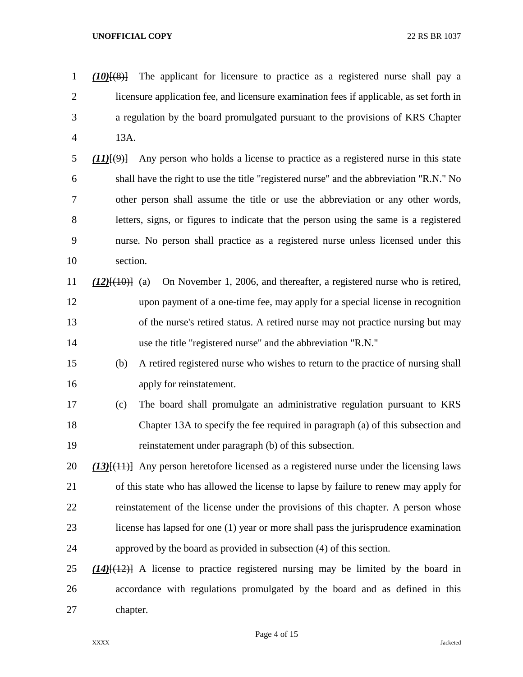*(10)*[(8)] The applicant for licensure to practice as a registered nurse shall pay a licensure application fee, and licensure examination fees if applicable, as set forth in a regulation by the board promulgated pursuant to the provisions of KRS Chapter 13A.

 *(11)*[(9)] Any person who holds a license to practice as a registered nurse in this state shall have the right to use the title "registered nurse" and the abbreviation "R.N." No other person shall assume the title or use the abbreviation or any other words, letters, signs, or figures to indicate that the person using the same is a registered nurse. No person shall practice as a registered nurse unless licensed under this section.

- *(12)*[(10)] (a) On November 1, 2006, and thereafter, a registered nurse who is retired, upon payment of a one-time fee, may apply for a special license in recognition of the nurse's retired status. A retired nurse may not practice nursing but may use the title "registered nurse" and the abbreviation "R.N."
- (b) A retired registered nurse who wishes to return to the practice of nursing shall apply for reinstatement.
- (c) The board shall promulgate an administrative regulation pursuant to KRS Chapter 13A to specify the fee required in paragraph (a) of this subsection and reinstatement under paragraph (b) of this subsection.
- *(13)*[(11)] Any person heretofore licensed as a registered nurse under the licensing laws of this state who has allowed the license to lapse by failure to renew may apply for reinstatement of the license under the provisions of this chapter. A person whose license has lapsed for one (1) year or more shall pass the jurisprudence examination approved by the board as provided in subsection (4) of this section.
- *(14)*[(12)] A license to practice registered nursing may be limited by the board in accordance with regulations promulgated by the board and as defined in this chapter.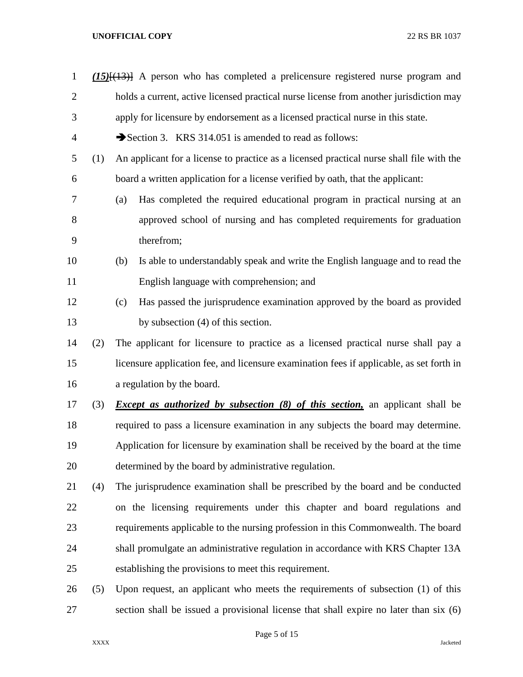| $\mathbf{1}$   |     | $(15)$ [ $(13)$ ] A person who has completed a prelicensure registered nurse program and |  |  |
|----------------|-----|------------------------------------------------------------------------------------------|--|--|
| $\overline{2}$ |     | holds a current, active licensed practical nurse license from another jurisdiction may   |  |  |
| 3              |     | apply for licensure by endorsement as a licensed practical nurse in this state.          |  |  |
| $\overline{4}$ |     | Section 3. KRS 314.051 is amended to read as follows:                                    |  |  |
| 5              | (1) | An applicant for a license to practice as a licensed practical nurse shall file with the |  |  |
| 6              |     | board a written application for a license verified by oath, that the applicant:          |  |  |
| 7              |     | Has completed the required educational program in practical nursing at an<br>(a)         |  |  |
| 8              |     | approved school of nursing and has completed requirements for graduation                 |  |  |
| 9              |     | therefrom;                                                                               |  |  |
| 10             |     | Is able to understandably speak and write the English language and to read the<br>(b)    |  |  |
| 11             |     | English language with comprehension; and                                                 |  |  |
| 12             |     | Has passed the jurisprudence examination approved by the board as provided<br>(c)        |  |  |
| 13             |     | by subsection (4) of this section.                                                       |  |  |
| 14             | (2) | The applicant for licensure to practice as a licensed practical nurse shall pay a        |  |  |
| 15             |     | licensure application fee, and licensure examination fees if applicable, as set forth in |  |  |
| 16             |     | a regulation by the board.                                                               |  |  |
| 17             | (3) | <i>Except as authorized by subsection (8) of this section</i> , an applicant shall be    |  |  |
| 18             |     | required to pass a licensure examination in any subjects the board may determine.        |  |  |
| 19             |     | Application for licensure by examination shall be received by the board at the time      |  |  |
| 20             |     | determined by the board by administrative regulation.                                    |  |  |
| 21             | (4) | The jurisprudence examination shall be prescribed by the board and be conducted          |  |  |
| 22             |     | on the licensing requirements under this chapter and board regulations and               |  |  |
| 23             |     | requirements applicable to the nursing profession in this Commonwealth. The board        |  |  |
| 24             |     | shall promulgate an administrative regulation in accordance with KRS Chapter 13A         |  |  |
| 25             |     | establishing the provisions to meet this requirement.                                    |  |  |
| 26             | (5) | Upon request, an applicant who meets the requirements of subsection (1) of this          |  |  |
| 27             |     | section shall be issued a provisional license that shall expire no later than six (6)    |  |  |

Page 5 of 15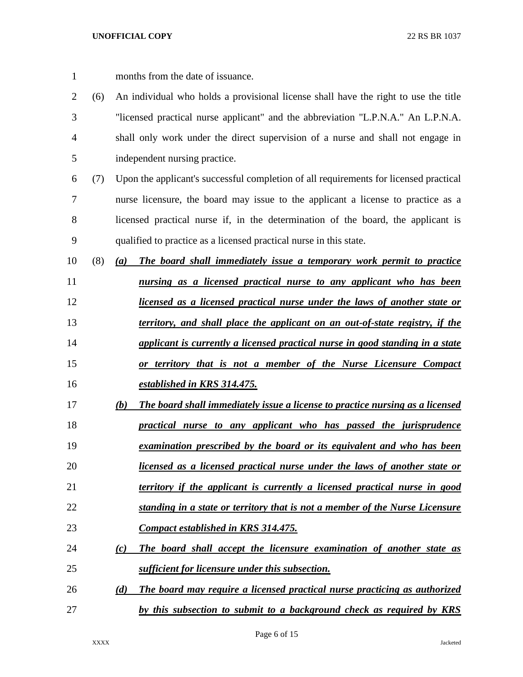| 1              |     | months from the date of issuance.                                                     |
|----------------|-----|---------------------------------------------------------------------------------------|
| $\overline{2}$ | (6) | An individual who holds a provisional license shall have the right to use the title   |
| 3              |     | "licensed practical nurse applicant" and the abbreviation "L.P.N.A." An L.P.N.A.      |
| $\overline{4}$ |     | shall only work under the direct supervision of a nurse and shall not engage in       |
| 5              |     | independent nursing practice.                                                         |
| 6              | (7) | Upon the applicant's successful completion of all requirements for licensed practical |
| $\overline{7}$ |     | nurse licensure, the board may issue to the applicant a license to practice as a      |
| 8              |     | licensed practical nurse if, in the determination of the board, the applicant is      |
| 9              |     | qualified to practice as a licensed practical nurse in this state.                    |
| 10             | (8) | The board shall immediately issue a temporary work permit to practice<br>(a)          |
| 11             |     | nursing as a licensed practical nurse to any applicant who has been                   |
| 12             |     | licensed as a licensed practical nurse under the laws of another state or             |
| 13             |     | territory, and shall place the applicant on an out-of-state registry, if the          |
| 14             |     | applicant is currently a licensed practical nurse in good standing in a state         |
| 15             |     | or territory that is not a member of the Nurse Licensure Compact                      |
| 16             |     | established in KRS 314.475.                                                           |
| 17             |     | The board shall immediately issue a license to practice nursing as a licensed<br>(b)  |
| 18             |     | practical nurse to any applicant who has passed the jurisprudence                     |
| 19             |     | <u>examination prescribed by the board or its equivalent and who has been</u>         |
| 20             |     | licensed as a licensed practical nurse under the laws of another state or             |
| 21             |     | territory if the applicant is currently a licensed practical nurse in good            |
| 22             |     | standing in a state or territory that is not a member of the Nurse Licensure          |
| 23             |     | Compact established in KRS 314.475.                                                   |
| 24             |     | The board shall accept the licensure examination of another state as<br>(c)           |
| 25             |     | sufficient for licensure under this subsection.                                       |
| 26             |     | The board may require a licensed practical nurse practicing as authorized<br>(d)      |
| 27             |     | by this subsection to submit to a background check as required by KRS                 |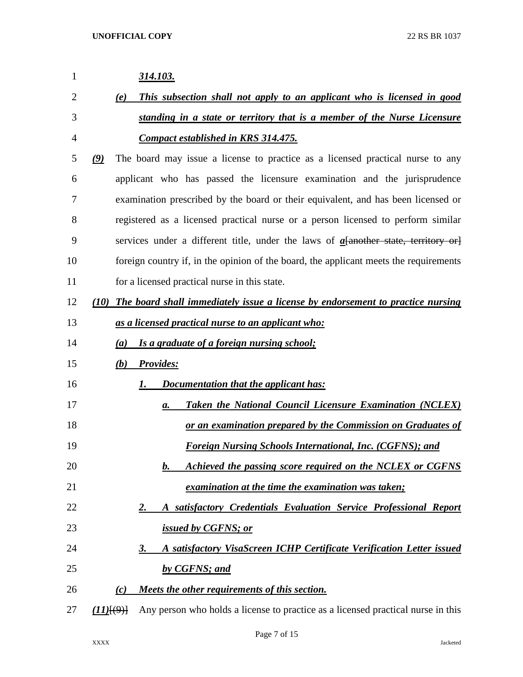| 1              | 314.103.                                                                                    |
|----------------|---------------------------------------------------------------------------------------------|
| $\overline{2}$ | This subsection shall not apply to an applicant who is licensed in good<br>(e)              |
| 3              | standing in a state or territory that is a member of the Nurse Licensure                    |
| 4              | <b>Compact established in KRS 314.475.</b>                                                  |
| 5              | The board may issue a license to practice as a licensed practical nurse to any<br>(9)       |
| 6              | applicant who has passed the licensure examination and the jurisprudence                    |
| 7              | examination prescribed by the board or their equivalent, and has been licensed or           |
| 8              | registered as a licensed practical nurse or a person licensed to perform similar            |
| 9              | services under a different title, under the laws of $a$ [another state, territory or]       |
| 10             | foreign country if, in the opinion of the board, the applicant meets the requirements       |
| 11             | for a licensed practical nurse in this state.                                               |
| 12             | The board shall immediately issue a license by endorsement to practice nursing<br>(10)      |
| 13             | as a licensed practical nurse to an applicant who:                                          |
| 14             | Is a graduate of a foreign nursing school;<br>(a)                                           |
| 15             | <b>Provides:</b><br>(b)                                                                     |
| 16             | <b>Documentation that the applicant has:</b><br>1.                                          |
| 17             | <b>Taken the National Council Licensure Examination (NCLEX)</b><br>а.                       |
| 18             | or an examination prepared by the Commission on Graduates of                                |
| 19             | <b>Foreign Nursing Schools International, Inc. (CGFNS); and</b>                             |
| 20             | Achieved the passing score required on the NCLEX or CGFNS<br>$\bm{b}$ .                     |
| 21             | examination at the time the examination was taken;                                          |
| 22             | satisfactory Credentials Evaluation Service Professional Report<br><u>2.</u><br>A           |
| 23             | <i>issued by CGFNS; or</i>                                                                  |
| 24             | A satisfactory VisaScreen ICHP Certificate Verification Letter issued<br><u>3.</u>          |
| 25             | by CGFNS; and                                                                               |
| 26             | Meets the other requirements of this section.<br>(c)                                        |
| 27             | Any person who holds a license to practice as a licensed practical nurse in this<br>(11)(9) |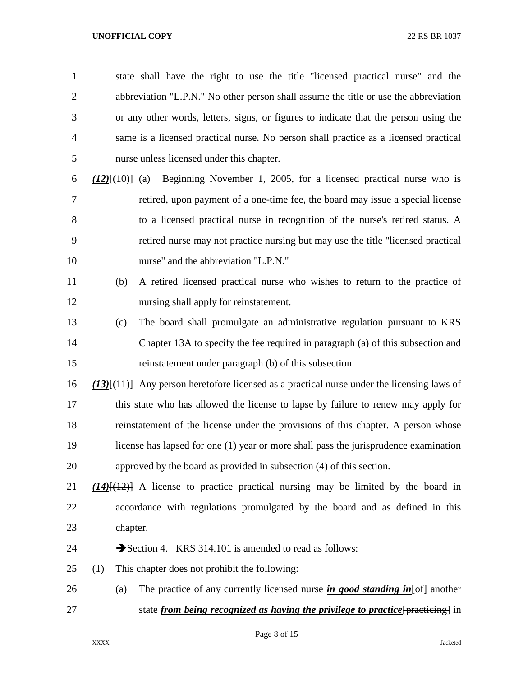state shall have the right to use the title "licensed practical nurse" and the abbreviation "L.P.N." No other person shall assume the title or use the abbreviation or any other words, letters, signs, or figures to indicate that the person using the same is a licensed practical nurse. No person shall practice as a licensed practical nurse unless licensed under this chapter.

- *(12)*[(10)] (a) Beginning November 1, 2005, for a licensed practical nurse who is retired, upon payment of a one-time fee, the board may issue a special license to a licensed practical nurse in recognition of the nurse's retired status. A retired nurse may not practice nursing but may use the title "licensed practical nurse" and the abbreviation "L.P.N."
- (b) A retired licensed practical nurse who wishes to return to the practice of nursing shall apply for reinstatement.
- (c) The board shall promulgate an administrative regulation pursuant to KRS Chapter 13A to specify the fee required in paragraph (a) of this subsection and reinstatement under paragraph (b) of this subsection.
- *(13)*[(11)] Any person heretofore licensed as a practical nurse under the licensing laws of this state who has allowed the license to lapse by failure to renew may apply for reinstatement of the license under the provisions of this chapter. A person whose license has lapsed for one (1) year or more shall pass the jurisprudence examination approved by the board as provided in subsection (4) of this section.
- *(14)*[(12)] A license to practice practical nursing may be limited by the board in accordance with regulations promulgated by the board and as defined in this chapter.
- 24 Section 4. KRS 314.101 is amended to read as follows:
- (1) This chapter does not prohibit the following:
- 26 (a) The practice of any currently licensed nurse *in good standing in* [of another 27 state *from being recognized as having the privilege to practice* [practicing] in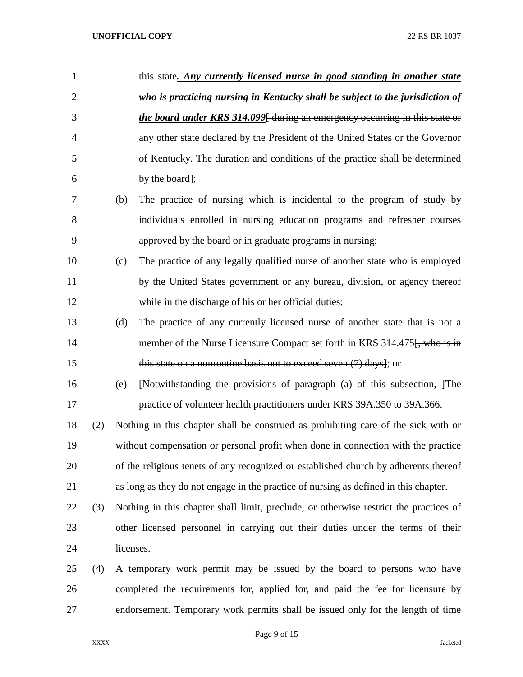| $\mathbf{1}$   |     |     | this state. Any currently licensed nurse in good standing in another state            |
|----------------|-----|-----|---------------------------------------------------------------------------------------|
| $\overline{2}$ |     |     | who is practicing nursing in Kentucky shall be subject to the jurisdiction of         |
| 3              |     |     | <i>the board under KRS 314.099</i> [ during an emergency occurring in this state or   |
| $\overline{4}$ |     |     | any other state declared by the President of the United States or the Governor        |
| 5              |     |     | of Kentucky. The duration and conditions of the practice shall be determined          |
| 6              |     |     | by the board];                                                                        |
| 7              |     | (b) | The practice of nursing which is incidental to the program of study by                |
| 8              |     |     | individuals enrolled in nursing education programs and refresher courses              |
| 9              |     |     | approved by the board or in graduate programs in nursing;                             |
| 10             |     | (c) | The practice of any legally qualified nurse of another state who is employed          |
| 11             |     |     | by the United States government or any bureau, division, or agency thereof            |
| 12             |     |     | while in the discharge of his or her official duties;                                 |
| 13             |     | (d) | The practice of any currently licensed nurse of another state that is not a           |
| 14             |     |     | member of the Nurse Licensure Compact set forth in KRS 314.475. who is in             |
| 15             |     |     | this state on a nonroutine basis not to exceed seven $(7)$ days]; or                  |
| 16             |     | (e) | [Notwithstanding the provisions of paragraph (a) of this subsection, ]The             |
| 17             |     |     | practice of volunteer health practitioners under KRS 39A.350 to 39A.366.              |
| 18             | (2) |     | Nothing in this chapter shall be construed as prohibiting care of the sick with or    |
| 19             |     |     | without compensation or personal profit when done in connection with the practice     |
| 20             |     |     | of the religious tenets of any recognized or established church by adherents thereof  |
| 21             |     |     | as long as they do not engage in the practice of nursing as defined in this chapter.  |
| 22             | (3) |     | Nothing in this chapter shall limit, preclude, or otherwise restrict the practices of |
| 23             |     |     | other licensed personnel in carrying out their duties under the terms of their        |
| 24             |     |     | licenses.                                                                             |
| 25             | (4) |     | A temporary work permit may be issued by the board to persons who have                |
| 26             |     |     | completed the requirements for, applied for, and paid the fee for licensure by        |
| 27             |     |     | endorsement. Temporary work permits shall be issued only for the length of time       |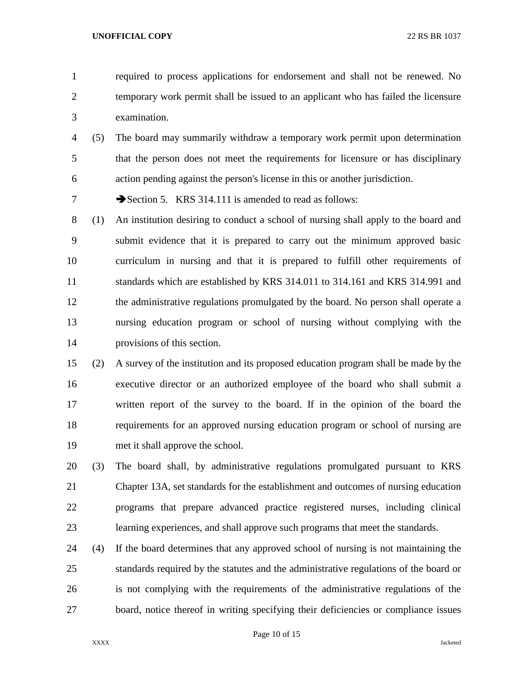required to process applications for endorsement and shall not be renewed. No temporary work permit shall be issued to an applicant who has failed the licensure examination.

 (5) The board may summarily withdraw a temporary work permit upon determination that the person does not meet the requirements for licensure or has disciplinary action pending against the person's license in this or another jurisdiction.

7 Section 5. KRS 314.111 is amended to read as follows:

- (1) An institution desiring to conduct a school of nursing shall apply to the board and submit evidence that it is prepared to carry out the minimum approved basic curriculum in nursing and that it is prepared to fulfill other requirements of standards which are established by KRS 314.011 to 314.161 and KRS 314.991 and the administrative regulations promulgated by the board. No person shall operate a nursing education program or school of nursing without complying with the provisions of this section.
- (2) A survey of the institution and its proposed education program shall be made by the executive director or an authorized employee of the board who shall submit a written report of the survey to the board. If in the opinion of the board the requirements for an approved nursing education program or school of nursing are met it shall approve the school.
- (3) The board shall, by administrative regulations promulgated pursuant to KRS Chapter 13A, set standards for the establishment and outcomes of nursing education programs that prepare advanced practice registered nurses, including clinical learning experiences, and shall approve such programs that meet the standards.
- (4) If the board determines that any approved school of nursing is not maintaining the standards required by the statutes and the administrative regulations of the board or is not complying with the requirements of the administrative regulations of the board, notice thereof in writing specifying their deficiencies or compliance issues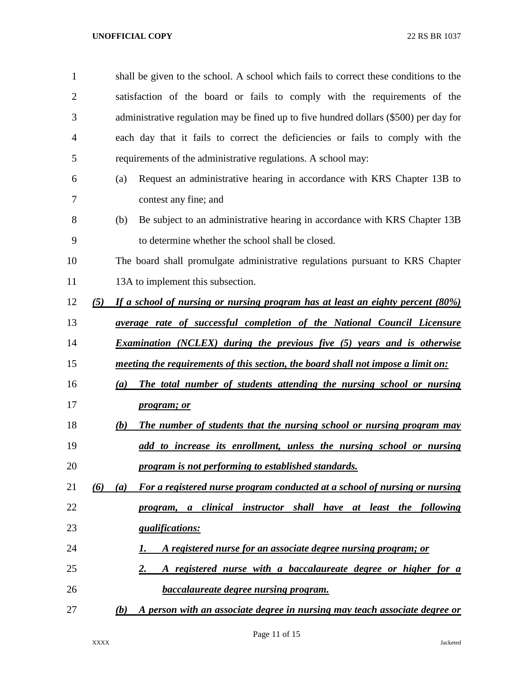| $\mathbf{1}$   | shall be given to the school. A school which fails to correct these conditions to the    |
|----------------|------------------------------------------------------------------------------------------|
| $\overline{2}$ | satisfaction of the board or fails to comply with the requirements of the                |
| 3              | administrative regulation may be fined up to five hundred dollars (\$500) per day for    |
| 4              | each day that it fails to correct the deficiencies or fails to comply with the           |
| 5              | requirements of the administrative regulations. A school may:                            |
| 6              | Request an administrative hearing in accordance with KRS Chapter 13B to<br>(a)           |
| 7              | contest any fine; and                                                                    |
| 8              | Be subject to an administrative hearing in accordance with KRS Chapter 13B<br>(b)        |
| 9              | to determine whether the school shall be closed.                                         |
| 10             | The board shall promulgate administrative regulations pursuant to KRS Chapter            |
| 11             | 13A to implement this subsection.                                                        |
| 12             | If a school of nursing or nursing program has at least an eighty percent (80%)<br>(5)    |
| 13             | <i>average rate of successful completion of the National Council Licensure</i>           |
| 14             | <b>Examination</b> (NCLEX) during the previous five (5) years and is otherwise           |
| 15             | meeting the requirements of this section, the board shall not impose a limit on:         |
| 16             | The total number of students attending the nursing school or nursing<br>(a)              |
| 17             | <i>program; or</i>                                                                       |
| 18             | The number of students that the nursing school or nursing program may<br>(b)             |
| 19             | add to increase its enrollment, unless the nursing school or nursing                     |
| 20             | program is not performing to established standards.                                      |
| 21             | For a registered nurse program conducted at a school of nursing or nursing<br>(6)<br>(a) |
| 22             | a clinical instructor shall have at least the<br>following<br><i>program</i> ,           |
| 23             | <i><u><b>gualifications:</b></u></i>                                                     |
| 24             | A registered nurse for an associate degree nursing program; or<br>I.                     |
| 25             | <u>A registered nurse with a baccalaureate degree or higher for a</u><br>2.              |
| 26             | <b>baccalaureate degree nursing program.</b>                                             |
| 27             | A person with an associate degree in nursing may teach associate degree or<br>(b)        |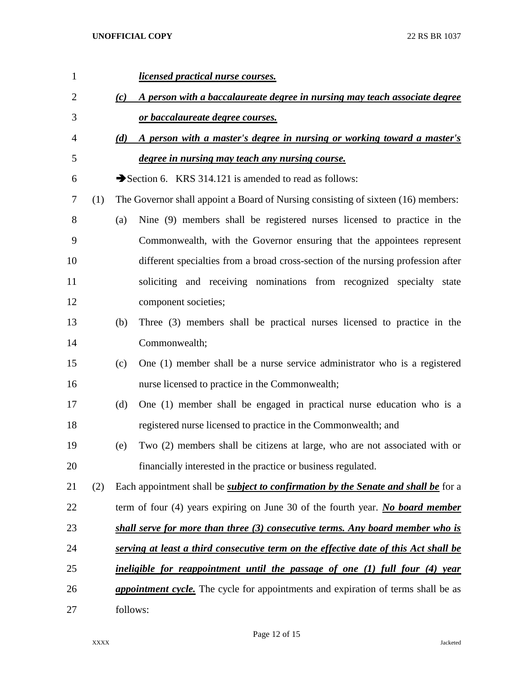| 1              |     |          | <u>licensed practical nurse courses.</u>                                                  |
|----------------|-----|----------|-------------------------------------------------------------------------------------------|
| $\overline{2}$ |     | (c)      | A person with a baccalaureate degree in nursing may teach associate degree                |
| 3              |     |          | or baccalaureate degree courses.                                                          |
| 4              |     | (d)      | A person with a master's degree in nursing or working toward a master's                   |
| 5              |     |          | degree in nursing may teach any nursing course.                                           |
| 6              |     |          | Section 6. KRS 314.121 is amended to read as follows:                                     |
| 7              | (1) |          | The Governor shall appoint a Board of Nursing consisting of sixteen (16) members:         |
| 8              |     | (a)      | Nine (9) members shall be registered nurses licensed to practice in the                   |
| 9              |     |          | Commonwealth, with the Governor ensuring that the appointees represent                    |
| 10             |     |          | different specialties from a broad cross-section of the nursing profession after          |
| 11             |     |          | soliciting and receiving nominations from recognized specialty state                      |
| 12             |     |          | component societies;                                                                      |
| 13             |     | (b)      | Three (3) members shall be practical nurses licensed to practice in the                   |
| 14             |     |          | Commonwealth;                                                                             |
| 15             |     | (c)      | One (1) member shall be a nurse service administrator who is a registered                 |
| 16             |     |          | nurse licensed to practice in the Commonwealth;                                           |
| 17             |     | (d)      | One (1) member shall be engaged in practical nurse education who is a                     |
| 18             |     |          | registered nurse licensed to practice in the Commonwealth; and                            |
| 19             |     | (e)      | Two (2) members shall be citizens at large, who are not associated with or                |
| 20             |     |          | financially interested in the practice or business regulated.                             |
| 21             | (2) |          | Each appointment shall be <i>subject to confirmation by the Senate and shall be</i> for a |
| 22             |     |          | term of four $(4)$ years expiring on June 30 of the fourth year. No board member          |
| 23             |     |          | shall serve for more than three (3) consecutive terms. Any board member who is            |
| 24             |     |          | serving at least a third consecutive term on the effective date of this Act shall be      |
| 25             |     |          | ineligible for reappointment until the passage of one (1) full four (4) year              |
| 26             |     |          | <i>appointment cycle</i> . The cycle for appointments and expiration of terms shall be as |
| 27             |     | follows: |                                                                                           |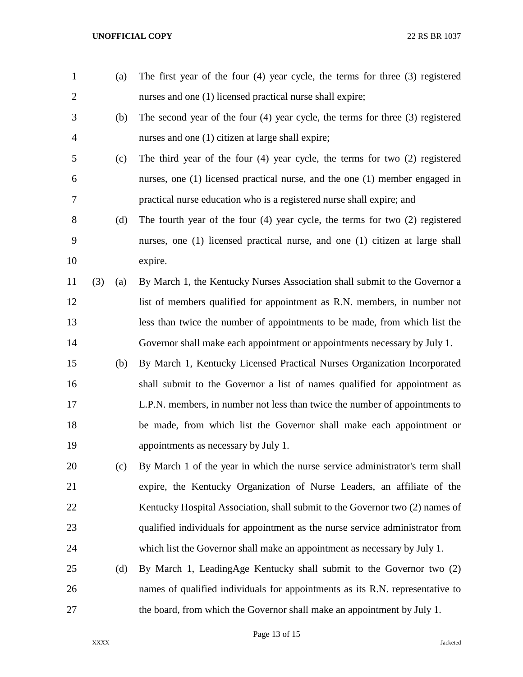| $\mathbf{1}$   |     | (a) | The first year of the four $(4)$ year cycle, the terms for three $(3)$ registered  |
|----------------|-----|-----|------------------------------------------------------------------------------------|
| $\overline{2}$ |     |     | nurses and one (1) licensed practical nurse shall expire;                          |
| 3              |     | (b) | The second year of the four $(4)$ year cycle, the terms for three $(3)$ registered |
| 4              |     |     | nurses and one (1) citizen at large shall expire;                                  |
| 5              |     | (c) | The third year of the four $(4)$ year cycle, the terms for two $(2)$ registered    |
| 6              |     |     | nurses, one (1) licensed practical nurse, and the one (1) member engaged in        |
| 7              |     |     | practical nurse education who is a registered nurse shall expire; and              |
| 8              |     | (d) | The fourth year of the four $(4)$ year cycle, the terms for two $(2)$ registered   |
| 9              |     |     | nurses, one (1) licensed practical nurse, and one (1) citizen at large shall       |
| 10             |     |     | expire.                                                                            |
| 11             | (3) | (a) | By March 1, the Kentucky Nurses Association shall submit to the Governor a         |
| 12             |     |     | list of members qualified for appointment as R.N. members, in number not           |
| 13             |     |     | less than twice the number of appointments to be made, from which list the         |
| 14             |     |     | Governor shall make each appointment or appointments necessary by July 1.          |
| 15             |     | (b) | By March 1, Kentucky Licensed Practical Nurses Organization Incorporated           |
| 16             |     |     | shall submit to the Governor a list of names qualified for appointment as          |
| 17             |     |     | L.P.N. members, in number not less than twice the number of appointments to        |
| 18             |     |     | be made, from which list the Governor shall make each appointment or               |
| 19             |     |     | appointments as necessary by July 1.                                               |
| 20             |     | (c) | By March 1 of the year in which the nurse service administrator's term shall       |
| 21             |     |     | expire, the Kentucky Organization of Nurse Leaders, an affiliate of the            |
| 22             |     |     | Kentucky Hospital Association, shall submit to the Governor two (2) names of       |
| 23             |     |     | qualified individuals for appointment as the nurse service administrator from      |
| 24             |     |     | which list the Governor shall make an appointment as necessary by July 1.          |
| 25             |     | (d) | By March 1, LeadingAge Kentucky shall submit to the Governor two (2)               |
| 26             |     |     | names of qualified individuals for appointments as its R.N. representative to      |
| 27             |     |     | the board, from which the Governor shall make an appointment by July 1.            |

Page 13 of 15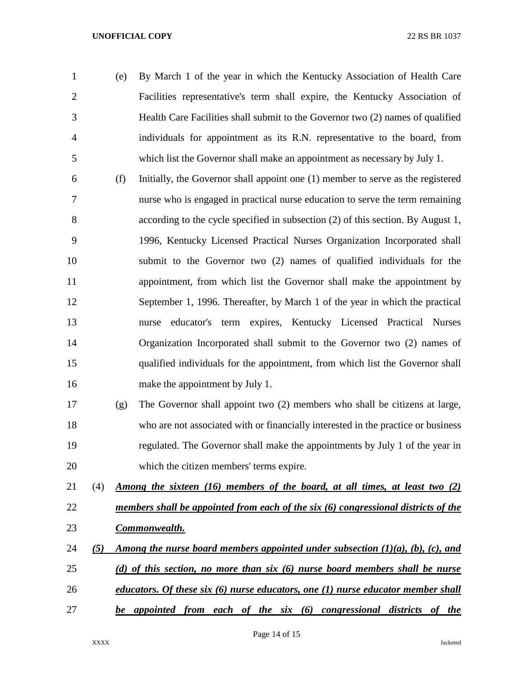- (e) By March 1 of the year in which the Kentucky Association of Health Care Facilities representative's term shall expire, the Kentucky Association of Health Care Facilities shall submit to the Governor two (2) names of qualified individuals for appointment as its R.N. representative to the board, from which list the Governor shall make an appointment as necessary by July 1.
- (f) Initially, the Governor shall appoint one (1) member to serve as the registered nurse who is engaged in practical nurse education to serve the term remaining according to the cycle specified in subsection (2) of this section. By August 1, 1996, Kentucky Licensed Practical Nurses Organization Incorporated shall submit to the Governor two (2) names of qualified individuals for the appointment, from which list the Governor shall make the appointment by September 1, 1996. Thereafter, by March 1 of the year in which the practical nurse educator's term expires, Kentucky Licensed Practical Nurses Organization Incorporated shall submit to the Governor two (2) names of qualified individuals for the appointment, from which list the Governor shall make the appointment by July 1.
- (g) The Governor shall appoint two (2) members who shall be citizens at large, who are not associated with or financially interested in the practice or business regulated. The Governor shall make the appointments by July 1 of the year in which the citizen members' terms expire.
- (4) *Among the sixteen (16) members of the board, at all times, at least two (2) members shall be appointed from each of the six (6) congressional districts of the Commonwealth.*
- *(5) Among the nurse board members appointed under subsection (1)(a), (b), (c), and (d) of this section, no more than six (6) nurse board members shall be nurse educators. Of these six (6) nurse educators, one (1) nurse educator member shall be appointed from each of the six (6) congressional districts of the*